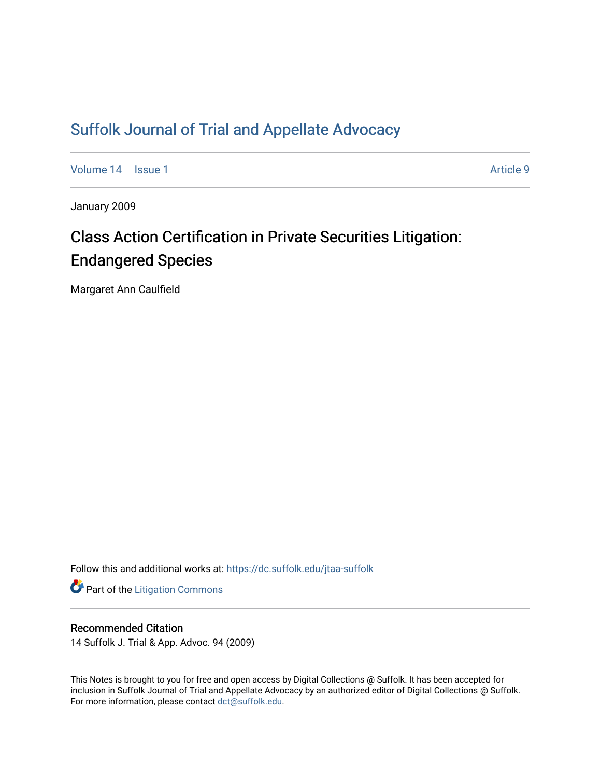## [Suffolk Journal of Trial and Appellate Advocacy](https://dc.suffolk.edu/jtaa-suffolk)

[Volume 14](https://dc.suffolk.edu/jtaa-suffolk/vol14) | [Issue 1](https://dc.suffolk.edu/jtaa-suffolk/vol14/iss1) Article 9

January 2009

# Class Action Certification in Private Securities Litigation: Endangered Species

Margaret Ann Caulfield

Follow this and additional works at: [https://dc.suffolk.edu/jtaa-suffolk](https://dc.suffolk.edu/jtaa-suffolk?utm_source=dc.suffolk.edu%2Fjtaa-suffolk%2Fvol14%2Fiss1%2F9&utm_medium=PDF&utm_campaign=PDFCoverPages) 

**Part of the [Litigation Commons](http://network.bepress.com/hgg/discipline/910?utm_source=dc.suffolk.edu%2Fjtaa-suffolk%2Fvol14%2Fiss1%2F9&utm_medium=PDF&utm_campaign=PDFCoverPages)** 

#### Recommended Citation

14 Suffolk J. Trial & App. Advoc. 94 (2009)

This Notes is brought to you for free and open access by Digital Collections @ Suffolk. It has been accepted for inclusion in Suffolk Journal of Trial and Appellate Advocacy by an authorized editor of Digital Collections @ Suffolk. For more information, please contact [dct@suffolk.edu](mailto:dct@suffolk.edu).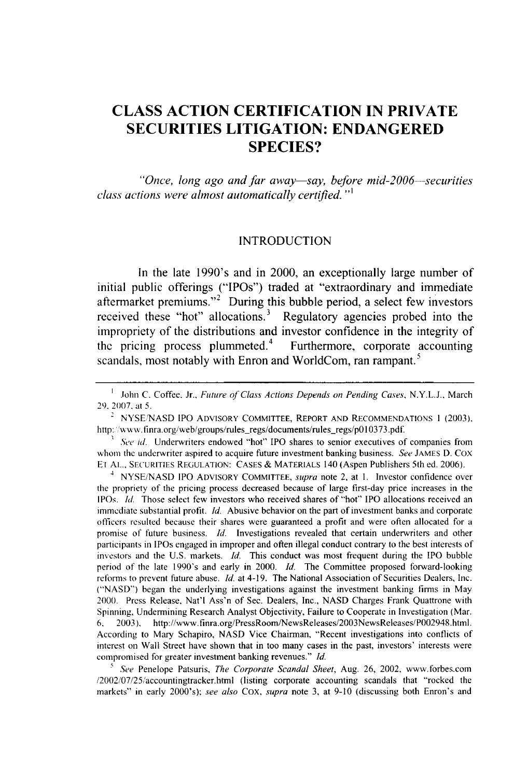### **CLASS ACTION CERTIFICATION IN PRIVATE SECURITIES LITIGATION: ENDANGERED SPECIES?**

*"Once, long ago and far away-say, before mid-2006-securities class actions were almost automatically certified.* "'

#### INTRODUCTION

In the late 1990's and in 2000, an exceptionally large number of initial public offerings ("IPOs") traded at "extraordinary and immediate aftermarket premiums."<sup>2</sup> During this bubble period, a select few investors received these "hot" allocations.<sup>3</sup> Regulatory agencies probed into the impropriety of the distributions and investor confidence in the integrity of the pricing process plummeted. $\mu$  Furthermore, corporate accounting *5* scandals, most notably with Enron and WorldCom, ran rampant.

<sup>4</sup>NYSE/NASD IPO ADVISORY COMMITTEE, *supra* note 2, at 1. Investor confidence over the propriety of the pricing process decreased because of large first-day price increases in the IPOs. *Ild.* Those select few investors who received shares of "hot" IPO allocations received an immediate substantial profit. *Id.* Abusive behavior on the part of investment banks and corporate officers resulted because their shares were guaranteed a profit and were often allocated for a promise of future business. *Id.* Investigations revealed that certain underwriters and other participants in IPOs engaged in improper and often illegal conduct contrary to the best interests of investors and the U.S. markets. *Id.* This conduct was most frequent during the IPO bubble period of the late 1990's and early in 2000. *Id.* The Committee proposed forward-looking reforms to prevent future abuse. *Id.* at 4-19. The National Association of Securities Dealers, Inc. ("NASD") began the underlying investigations against the investment banking firms in May 2000. Press Release, Nat'l Ass'n of Sec. Dealers, Inc., NASD Charges Frank Quattrone with Spinning, Undermining Research Analyst Objectivity, Failure to Cooperate in Investigation (Mar. **6,** 2003), http://www. finra.org/PressRoom/NewsReleases/2003NewsReleases/P002948.html. According to Mary Schapiro, NASD Vice Chairman, "Recent investigations into conflicts of interest on Wall Street have shown that in too many cases in the past, investors' interests were compromised for greater investment banking revenues." *Id.*

*See* Penelope Patsuris, *The Corporate Scandal Sheet,* Aug. 26, 2002, www.forbes.com /2002/07/25/accountingtracker.html (listing corporate accounting scandals that "rocked the markets" in early 2000's); *see also* Cox, *supra* note 3, at 9-10 (discussing both Enron's and

**I** John C. Coffee. Jr., *Future* of *Class Actions Depends on Pending Cases,* N.Y.L.J., March 29. 2007. at 5.

 $2$  NYSE/NASD IPO ADVISORY COMMITTEE, REPORT AND RECOMMENDATIONS 1 (2003), http://www.finra.org/web/groups/rules-regs/documents/rules-regs/p010373.pdf.

*See id.* Underwriters endowed "hot" IPO shares to senior executives of companies from whom the underwriter aspired to acquire future investment banking business. *See* JAMES D. Cox **EI** AL., SECURITIES REGULATION: CASES **&** MATERIALS 140 (Aspen Publishers 5th ed. 2006).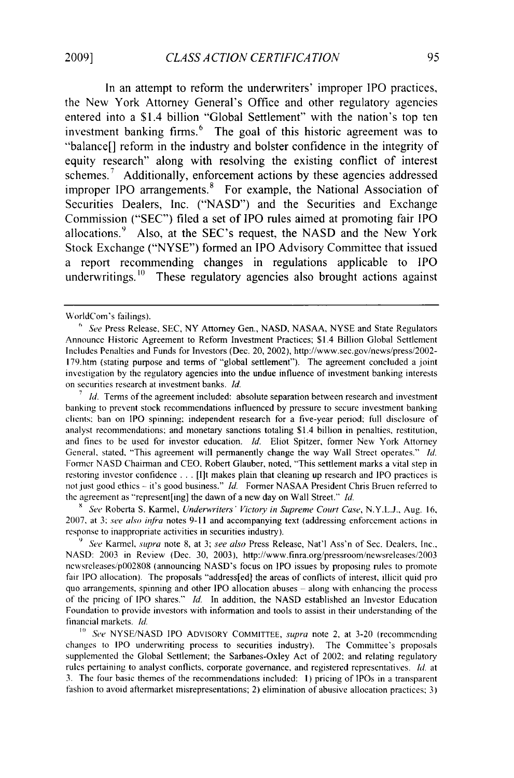In an attempt to reform the underwriters' improper IPO practices, the New York Attorney General's Office and other regulatory agencies entered into a \$1.4 billion "Global Settlement" with the nation's top ten investment banking firms.<sup>6</sup> The goal of this historic agreement was to "balance<sup>[]</sup> reform in the industry and bolster confidence in the integrity of equity research" along with resolving the existing conflict of interest schemes.<sup>7</sup> Additionally, enforcement actions by these agencies addressed improper IPO arrangements.<sup>8</sup> For example, the National Association of Securities Dealers, Inc. ("NASD") and the Securities and Exchange Commission ("SEC") filed a set of IPO rules aimed at promoting fair IPO allocations.<sup>9</sup> Also, at the SEC's request, the NASD and the New York Stock Exchange ("NYSE") formed an IPO Advisory Committee that issued a report recommending changes in regulations applicable to IPO underwritings. $\frac{10}{10}$  These regulatory agencies also brought actions against

*8 See* Roberta S. Karmel, *Underwriters' Victory in Supreme Court Case,* N.Y.L.J., Aug. 16, 2007. at 3: see *also intra* notes **9-11** and accompanying text (addressing enforcement actions in response to inappropriate activities in securities industry).

**<sup>9</sup>***See* Karmel, *supra* note 8, at 3; *see also* Press Release, Nat'l Ass'n of Sec. Dealers, Inc., NASD: 2003 in Review (Dec. 30, 2003), http://www.finra.org/pressroom/newsreleases/2003 new sreleasesip002808 (announcing NASD's focus on IPO issues by proposing rules to promote fair IPO allocation). The proposals "address[ed] the areas of conflicts of interest, illicit quid pro quo arrangements, spinning and other IPO allocation abuses **-** along with enhancing the process of the pricing of IPO shares." *Id.* In addition, the NASD established an Investor Education Foundation to provide investors with information and tools to assist in their understanding of the financial markets, *Id.*

**10** See NYSE/NASD IPO ADVISORY COMMITTEE, *supra* note 2, at 3-20 (recommending changes to IPO underwriting process to securities industry). The Committee's proposals supplemented the Global Settlement; the Sarbanes-Oxley Act of 2002; and relating regulatory rules pertaining to analyst conflicts, corporate governance, and registered representatives. Id. at 3. The four basic themes of the recommendations included: **1)** pricing of IPOs in a transparent fashion to avoid aftermarket misrepresentations; 2) elimination of abusive allocation practices; 3)

WorldCom's failings).

**<sup>6</sup>***See* Press Release, SEC, NY Attorney Gen., NASD, NASAA, NYSE and State Regulators Announce Historic Agreement to Reform Investment Practices; \$1.4 Billion Global Settlement Includes Penalties and Funds for Investors (Dec. 20, 2002), http://www.sec.gov/news/press/2002- 179.htm (stating purpose and terms of "global settlement"). The agreement concluded a joint investigation by the regulatory agencies into the undue influence of investment banking interests on securities research at investment banks. *Id.*

<sup>&</sup>lt;sup>7</sup>*Id.* Terms of the agreement included: absolute separation between research and investment banking to prevent stock recommendations influenced by pressure to secure investment banking clients: ban on IPO spinning: independent research for a five-year period; full disclosure of analyst recommendations: and monetary sanctions totaling \$1.4 billion in penalties, restitution, and fines to be used for investor education. *Id.* Eliot Spitzer, former New York Attorney General, stated, "This agreement will permanently change the way Wall Street operates." **Id.** Former NASD Chairman and CEO. Robert Glauber, noted, "This settlement marks a vital step in restoring investor confidence ... [I]t makes plain that cleaning up research and IPO practices is not just good ethics **-** it's good business." *Id.* Former NASAA President Chris Bruen referred to the agreement as "represent[ing] the dawn of a new day on Wall Street." *Id.*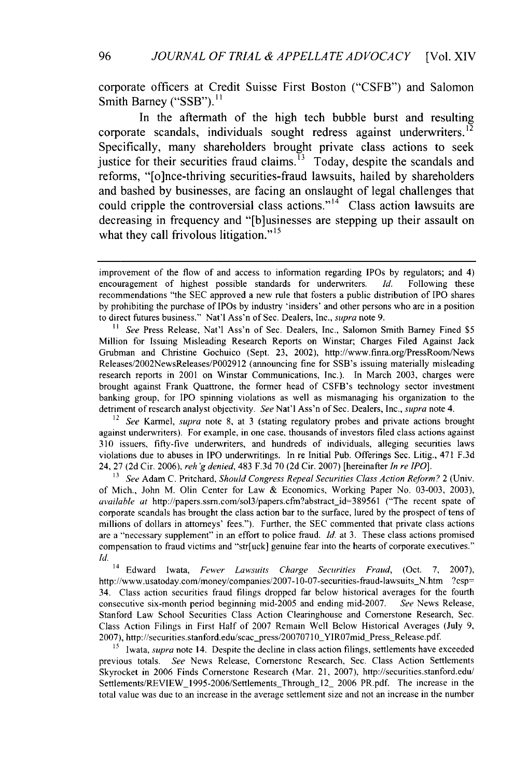corporate officers at Credit Suisse First Boston ("CSFB") and Salomon Smith Barney ("SSB").<sup>11</sup>

In the aftermath of the high tech bubble burst and resulting corporate scandals, individuals sought redress against underwriters.<sup>12</sup> Specifically, many shareholders brought private class actions to seek iustice for their securities fraud claims.<sup>13</sup> Today, despite the scandals and reforms, "[o]nce-thriving securities-fraud lawsuits, hailed **by** shareholders and bashed **by** businesses, are facing an onslaught of legal challenges that could cripple the controversial class actions."<sup>14</sup> Class action lawsuits are decreasing in frequency and "[b]usinesses are stepping up their assault on what they call frivolous litigation."<sup>15</sup>

<sup>11</sup> See Press Release, Nat'l Ass'n of Sec. Dealers, Inc., Salomon Smith Barney Fined \$5 Million for Issuing Misleading Research Reports on Winstar; Charges Filed Against Jack Grubman and Christine Gochuico (Sept. 23, 2002), http://www.finra.org/PressRoom/News Releases/2002NewsReleases/P002912 (announcing fine for SSB's issuing materially misleading research reports in 2001 on Winstar Communications, Inc.). In March 2003, charges were brought against Frank Quattrone, the former head of CSFB's technology sector investment banking group, for IPO spinning violations as well as mismanaging his organization to the detriment of research analyst objectivity. *See* Nat'l Ass'n of Sec. Dealers, Inc., *supra* note 4.

*12 See* Karmel, *supra* note 8, at 3 (stating regulatory probes and private actions brought against underwriters). For example, in one case, thousands of investors filed class actions against 310 issuers, fifty-five underwriters, and hundreds of individuals, alleging securities laws violations due to abuses in IPO underwritings. In re Initial Pub. Offerings Sec. Litig., 471 F.3d 24, 27 (2d Cir. 2006), reh *'g denied,* 483 F.3d 70 (2d Cir. 2007) [hereinafter *In re IPO].*

**<sup>13</sup>***See* Adam C. Pritchard, *Should Congress Repeal Securities Class Action Reform?* 2 (Univ. of Mich., John M. Olin Center for Law & Economics, Working Paper No. 03-003, 2003), *available at* http://papers.ssrn.com/sol3/papers.cfm?abstract-id=389561 ("The recent spate of corporate scandals has brought the class action bar to the surface, lured by the prospect of tens of millions of dollars in attorneys' fees."). Further, the SEC commented that private class actions are a "necessary supplement" in an effort to police fraud. *Id.* at 3. These class actions promised compensation to fraud victims and "str[uck] genuine fear into the hearts of corporate executives." *Id.*

14 Edward Iwata, *Fewer Lawsuits Charge Securities Fraud,* (Oct. 7, 2007), http://www.usatoday.com/money/companies/2007-10-07-securities-fraud-lawsuits\_N.htm ?csp= 34. Class action securities fraud filings dropped far below historical averages for the fourth consecutive six-month period beginning mid-2005 and ending mid-2007. *See* News Release, Stanford Law School Securities Class Action Clearinghouse and Cornerstone Research, Sec. Class Action Filings in First Half of 2007 Remain Well Below Historical Averages (July 9, 2007), http://securities.stanford.edu/scac\_press/20070710\_YIR07mid\_Press\_Release.pdf.

<sup>15</sup> Iwata, *supra* note 14. Despite the decline in class action filings, settlements have exceeded previous totals. *See* News Release, Cornerstone Research, Sec. Class Action Settlements Skyrocket in 2006 Finds Cornerstone Research (Mar. 21, 2007), http://securities.stanford.edu/ Settlements/REVIEW\_1995-2006/SettlementsThrough\_12\_ 2006 PR.pdf. The increase in the total value was due to an increase in the average settlement size and not an increase in the number

improvement of the flow of and access to information regarding IPOs by regulators; and 4) encouragement of highest possible standards for underwriters. *Id.* Following these recommendations "the SEC approved a new rule that fosters a public distribution of IPO shares by prohibiting the purchase of IPOs by industry 'insiders' and other persons who are in a position to direct futures business." Nat'l Ass'n of Sec. Dealers, Inc., *supra* note 9.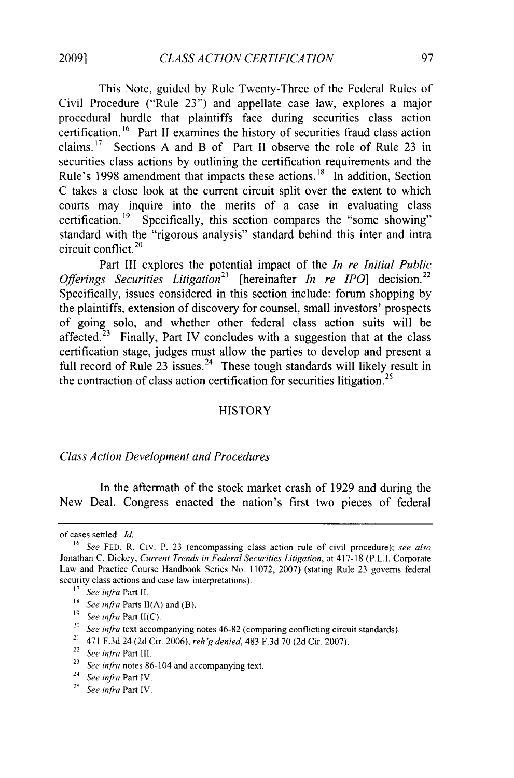**2009]**

This Note, guided by Rule Twenty-Three of the Federal Rules of Civil Procedure ("Rule 23") and appellate case law, explores a major procedural hurdle that plaintiffs face during securities class action certification.<sup>16</sup> Part II examines the history of securities fraud class action claims.<sup>17</sup> Sections A and B of Part II observe the role of Rule 23 in securities class actions by outlining the certification requirements and the Rule's 1998 amendment that impacts these actions.<sup>18</sup> In addition, Section C takes a close look at the current circuit split over the extent to which courts may inquire into the merits of a case in evaluating class certification.<sup>19</sup> Specifically, this section compares the "some showing" standard with the "rigorous analysis" standard behind this inter and intra circuit conflict. <sup>2</sup><sup>0</sup>

Part III explores the potential impact of the *In re Initial Public* Offerings Securities Litigation<sup>21</sup> [hereinafter *In re IPO*] decision.<sup>22</sup> Specifically, issues considered in this section include: forum shopping by the plaintiffs, extension of discovery for counsel, small investors' prospects of going solo, and whether other federal class action suits will be affected.<sup> $23$ </sup> Finally, Part IV concludes with a suggestion that at the class certification stage, judges must allow the parties to develop and present a full record of Rule  $23$  issues.<sup>24</sup> These tough standards will likely result in the contraction of class action certification for securities litigation.<sup>25</sup>

#### **HISTORY**

#### *Class Action Development and Procedures*

In the aftermath of the stock market crash of 1929 and during the New Deal, Congress enacted the nation's first two pieces of federal

- **<sup>19</sup>***See infra* Part II(C).
- *20 See infra* text accompanying notes 46-82 (comparing conflicting circuit standards).
- <sup>21</sup> 471 F.3d 24 (2d Cir. 2006), *reh'g denied*, 483 F.3d 70 (2d Cir. 2007).
- <sup>22</sup>*See infra* Part III.

of cases settled. *Id.*

**<sup>16</sup>**See FED. R. Civ. P. 23 (encompassing class action rule of civil procedure); *see also* Jonathan C. Dickey, Current *Trends in Federal Securities Litigation,* at 417-18 (P.L.I. Corporate Law and Practice Course Handbook Series No. 11072, 2007) (stating Rule 23 governs federal security class actions and case law interpretations).

**<sup>17</sup>***See infra* Part II.

**<sup>18</sup>***See infra* Parts **II(A)** and (B).

<sup>&</sup>lt;sup>23</sup> See infra notes 86-104 and accompanying text.

<sup>24</sup>*See infra* Part IV.

**<sup>25</sup>***See infra* Part IV.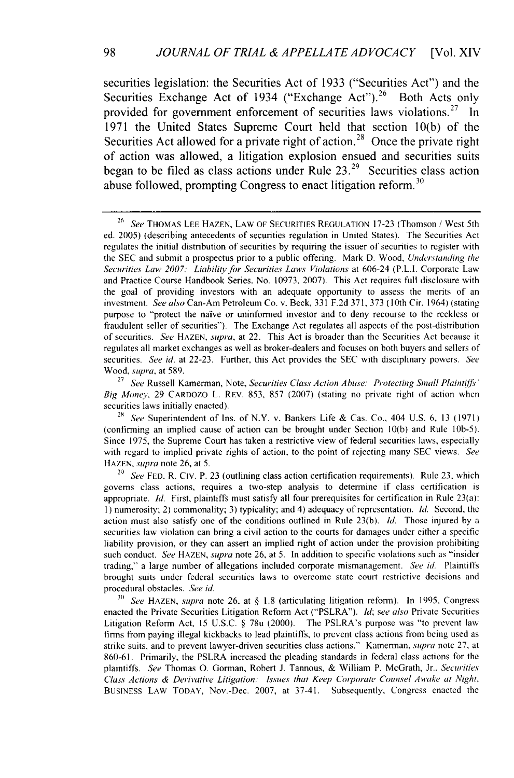securities legislation: the Securities Act of 1933 ("Securities Act") and the Securities Exchange Act of 1934 ("Exchange Act").<sup>26</sup> Both Acts only provided for government enforcement of securities laws violations.<sup>27</sup> In **1971** the United States Supreme Court **held** that section **10(b)** of the Securities Act allowed for a private right of action.<sup>28</sup> Once the private right of action was allowed, a litigation explosion ensued and securities suits began to be filed as class actions under Rule **23.29** Securities class action abuse followed, prompting Congress to enact litigation reform. <sup>3</sup><sup>0</sup>

<sup>27</sup> See Russell Kamerman, Note, *Securities Class Action Abuse: Protecting Small Plaintiffs'* Big Money, 29 CARDOZO L. REV. 853, 857 (2007) (stating no private right of action when securities laws initially enacted).

<sup>28</sup> *See* Superintendent of Ins. of N.Y. v. Bankers Life & Cas. Co., 404 U.S. 6, 13 (1971) (confirming an implied cause of action can be brought under Section 10(b) and Rule l0b-5). Since 1975, the Supreme Court has taken a restrictive view of federal securities laws, especially with regard to implied private rights of action, to the point of rejecting many SEC views. See HAZEN, *supra* note 26, at 5.

*21)* See **FED.** R. CIV. P. 23 (outlining class action certification requirements). Rule 23, which governs class actions, requires a two-step analysis to determine if class certification is appropriate. Id. First, plaintiffs must satisfy all four prerequisites for certification in Rule 23(a): **1)** numerosity; 2) commonality; 3) typicality; and 4) adequacy of representation. Id. Second, the action must also satisfy one of the conditions outlined in Rule 23(b). *ld.* Those injured by a securities law violation can bring a civil action to the courts for damages under either a specific liability provision, or they can assert an implied right of action under the provision prohibiting such conduct. See HAZEN, *supra* note **26,** at 5. In addition to specific violations such as "insider trading," a large number of allegations included corporate mismanagement. See id. Plaintiffs brought suits under federal securities laws to overcome state court restrictive decisions and procedural obstacles. See id.

*<sup>30</sup>*See HAZEN, *supra* note **26,** at § 1.8 (articulating litigation reform). In 1995, Congress enacted the Private Securities Litigation Reform Act ("PSLRA"). *hI;* see also Private Securities Litigation Reform Act, 15 U.S.C. § 78u (2000). The PSLRA's purpose was "to prevent law firms from paying illegal kickbacks to lead plaintiffs, to prevent class actions from being used as strike suits, and to prevent lawyer-driven securities class actions." Kamerman, *supra* note 27, at 860-61. Primarily, the PSLRA increased the pleading standards in federal class actions for the plaintiffs. See Thomas **0.** Gorman, Robert J. Tannous, & William P. McGrath, Jr., *Securities* Class Actions & Derivative Litigation: Issues that Keep Corporate Counsel Awake at Night, BUSINESS LAW TODAY, Nov.-Dec. 2007, at 37-41. Subsequently, Congress enacted the

**<sup>26</sup>***See* THOMAS LEE HAZEN, LAW OF SECURITIES REGULATION 17-23 (Thomson / West 5th ed. 2005) (describing antecedents of securities regulation in United States). The Securities Act regulates the initial distribution of securities by requiring the issuer of securities to register with the SEC and submit a prospectus prior to a public offering. Mark D. Wood, *Understanding* the *Securities Law 2007: Liability for Securities Laws Violations* at 606-24 (P.L.I. Corporate Law and Practice Course Handbook Series. No. 10973, 2007). This Act requires full disclosure with the goal of providing investors with an adequate opportunity to assess the merits of an investment. See also Can-Am Petroleum Co. v. Beck, 331 F.2d 371, 373 (10th Cir. 1964) (stating purpose to "protect the naive or uninformed investor and to deny recourse to the reckless or fraudulent seller of securities"). The Exchange Act regulates all aspects of the post-distribution of securities. *See* HAZEN, *supra,* at 22. This Act is broader than the Securities Act because it regulates all market exchanges as well as broker-dealers and focuses on both buyers and sellers of securities. *See id.* at 22-23. Further, this Act provides the SEC with disciplinary powers. *See* Wood, *supra,* at 589.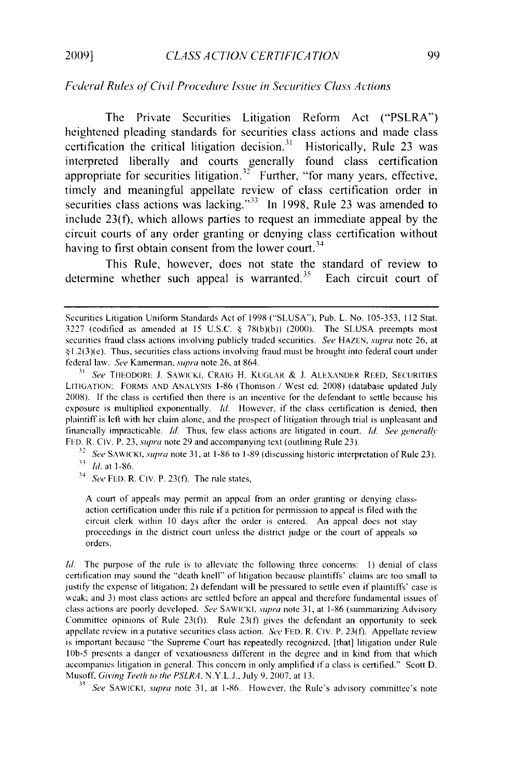#### *Federal Rules of Civil Procedure Issue in Securities Class Actions*

The Private Securities Litigation Reform Act ("PSLRA") heightened pleading standards for securities class actions and made class certification the critical litigation decision.<sup>31</sup> Historically, Rule 23 was interpreted liberally and courts generally found class certification appropriate for securities litigation.<sup>32</sup> Further, "for many years, effective timely and meaningful appellate review of class certification order in securities class actions was lacking."<sup>33</sup> In 1998, Rule 23 was amended to include 23(f), which allows parties to request an immediate appeal by the circuit courts of any order granting or denying class certification without having to first obtain consent from the lower court.<sup>34</sup>

This Rule, however, does not state the standard of review to determine whether such appeal is warranted.<sup>35</sup> Each circuit court of

*32* See SAWICKI, *.supra* note 31, at 1-86 to 1-89 (discussing historic interpretation of Rule 23).  $\frac{33}{h}$ *hi.* at 1-86.

 $34$  See FED. R. CIV. P. 23(f). The rule states,

A court of appeals may permit an appeal from an order granting or denying classaction certification under this rule if a petition for permission to appeal is filed with the circuit clerk within 10 days after the order is entered. An appeal does not stay proceedings in the district court unless the district judge or the court of appeals so orders.

*Id.* The purpose of the rule is to alleviate the following three concerns: **I)** denial of class certification may sound the "death knell" of litigation because plaintiffs' claims are too small to justify the expense of litigation; 2) defendant will be pressured to settle even if plaintiffs' case is weak; and 3) most class actions are settled before an appeal and therefore fundamental issues of class actions are poorly developed. See SAWICKI, supra note 31, at 1-86 (summarizing Advisory Committee opinions of Rule  $23(f)$ ). Rule  $23(f)$  gives the defendant an opportunity to seek appellate review in a putative securities class action. See FED. R. CIV. P. 23(f). Appellate review is important because "the Supreme Court has repeatedly recognized, [that] litigation under Rule **lOb-5** presents a danger of vexatiousness different in the degree and in kind from that which accompanies litigation in general. This concern in only amplified if a class is certified." Scott D. Musoff, *Giving* Teeth to *the PSLRA,* N.Y.L.J., July **9, 2007,** at 13.

<sup>35</sup> See SAWICKI, *supra* note 31, at 1-86. However, the Rule's advisory committee's note

Securities Litigation Uniform Standards Act of 1998 ("SLUSA"), Pub. L. No. 105-353, 112 Stat. 3227 (codified as amended at 15 U.S.C. § 78(b)(b)) (2000). The SLUSA preempts most securities fraud class actions involving publicly traded securities. *See* HAZEN, *sutpra* note 26, at §1.2(3)(e). Thus, securities class actions involving fraud must be brought into federal court under federal law. See Kamerman, supra note 26, at 864.

*<sup>31</sup>See* TIIEODORE **J.** SAWICKI, CRAIG H. KUGLAR & **J.** ALEXANDER REED, SECURITIES LITIGATION: FORMS AND ANALYSIS 1-86 (Thomson */* West ed. 2008) (database updated July 2008). If the class is certified then there is an incentive for the defendant to settle because his exposure is multiplied exponentially. *Id.* However, if the class certification is denied, then plaintiff is left with her clain alone, and the prospect of litigation through trial is unpleasant and financially impracticable. *Id.* Thus, few class actions are litigated in court. *Id. See generall "* FED. R. Civ. P. 23, *supra* note 29 and accompanying text (outlining Rule 23).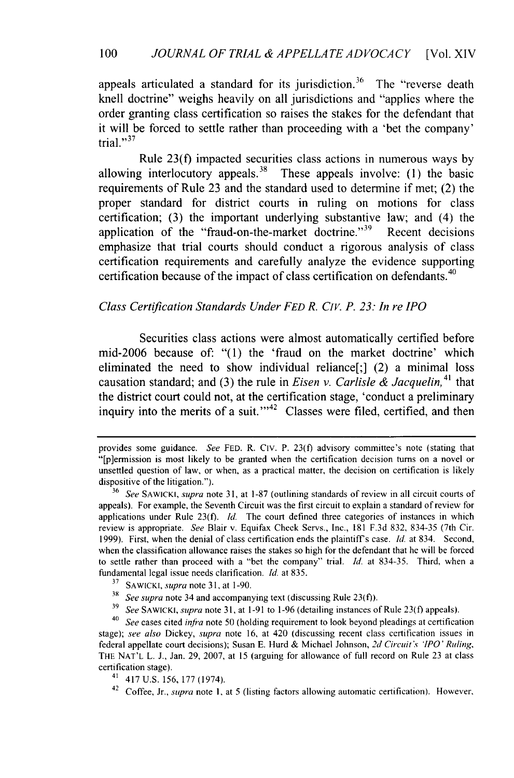appeals articulated a standard for its jurisdiction.<sup>36</sup> The "reverse death" knell doctrine" weighs heavily on all jurisdictions and "applies where the order granting class certification so raises the stakes for the defendant that it will be forced to settle rather than proceeding with a 'bet the company' trial."<sup>37</sup>

Rule 23(f) impacted securities class actions in numerous ways by allowing interlocutory appeals.<sup>38</sup> These appeals involve: (1) the basic requirements of Rule 23 and the standard used to determine if met; (2) the proper standard for district courts in ruling on motions for class certification; (3) the important underlying substantive law; and (4) the application of the "fraud-on-the-market doctrine."<sup>39</sup> Recent decisions emphasize that trial courts should conduct a rigorous analysis of class certification requirements and carefully analyze the evidence supporting certification because of the impact of class certification on defendants.<sup>40</sup>

#### *Class Certification Standards Under FED R. CIV. P. 23: In re IPO*

Securities class actions were almost automatically certified before mid-2006 because of: "(1) the 'fraud on the market doctrine' which eliminated the need to show individual reliance[;] (2) a minimal loss causation standard; and (3) the rule in *Eisen v. Carlisle & Jacquelin*,<sup>41</sup> that the district court could not, at the certification stage, 'conduct a preliminary inquiry into the merits of a suit. $1.42$  Classes were filed, certified, and then

provides some guidance. *See* FED. R. Civ. P. 23(f) advisory committee's note (stating that "[p]ermission is most likely to be granted when the certification decision turns on a novel or unsettled question of law, or when, as a practical matter, the decision on certification is likely dispositive of the litigation.").

<sup>36</sup> *See* SAWICKI, *supra* note 31, at 1-87 (outlining standards of review in all circuit courts of appeals). For example, the Seventh Circuit was the first circuit to explain a standard of review for applications under Rule 23(f). *Id.* The court defined three categories of instances in which review is appropriate. *See* Blair v. Equifax Check Servs., Inc., 181 F.3d 832, 834-35 (7th Cir. 1999). First, when the denial of class certification ends the plaintiff's case. *Id.* at 834. Second, when the classification allowance raises the stakes so high for the defendant that he will be forced to settle rather than proceed with a "bet the company" trial. *Id.* at 834-35. Third, when a fundamental legal issue needs clarification. *Id.* at 835.

**<sup>37</sup>**SAWICKI, *supra* note 31, at 1-90.

*<sup>38</sup>See supra* note 34 and accompanying text (discussing Rule 23(f)).

**<sup>39</sup>***See* SAWICKI, *supra* note 31, at 1-91 to 1-96 (detailing instances of Rule 23(f) appeals).

<sup>40</sup>*See* cases cited *infra* note 50 (holding requirement to look beyond pleadings at certification stage); *see also* Dickey, *supra* note 16, at 420 (discussing recent class certification issues in federal appellate court decisions); Susan E. Hurd & Michael Johnson, *2d Circuit s 'IPO' Ruing,* THE NAT'L L. J., Jan. 29, 2007, at 15 (arguing for allowance of full record on Rule 23 at class certification stage).

<sup>41</sup> 417 U.S. 156, 177 (1974).

<sup>42</sup> Coffee, Jr., *supra* note 1, at 5 (listing factors allowing automatic certification). However,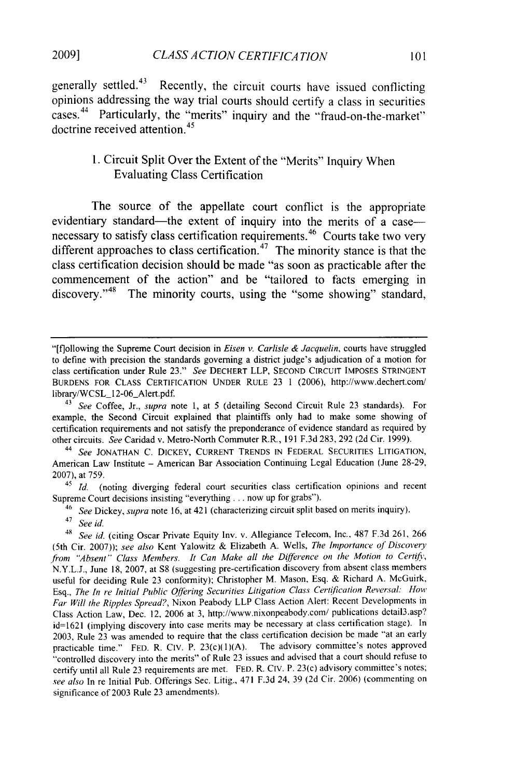generally settled.43 Recently, the circuit courts have issued conflicting opinions addressing the way trial courts should certify a class in securities cases.<sup>44</sup> Particularly, the "merits" inquiry and the "fraud-on-the-market" doctrine received attention.<sup>45</sup>

#### **1.** Circuit Split Over the Extent of the "Merits" Inquiry When Evaluating Class Certification

The source of the appellate court conflict is the appropriate evidentiary standard—the extent of inquiry into the merits of a case necessary to satisfy class certification requirements.<sup>46</sup> Courts take two very different approaches to class certification.<sup>47</sup> The minority stance is that the class certification decision should be made "as soon as practicable after the commencement of the action" and be "tailored to facts emerging in discovery."<sup>48</sup> The minority courts, using the "some showing" standard,

<sup>44</sup>*See* JONATHAN C. DICKEY, CURRENT TRENDS IN FEDERAL SECURITIES LITIGATION, American Law Institute **-** American Bar Association Continuing Legal Education (June 28-29, 2007), at 759.

<sup>45</sup>*Id.* (noting diverging federal court securities class certification opinions and recent Supreme Court decisions insisting "everything ... now up for grabs").

46 *See* Dickey, *supra* note 16, at 421 (characterizing circuit split based on merits inquiry).

<sup>&</sup>quot;[f]ollowing the Supreme Court decision in *Eisen v. Carlisle & Jacquelin,* courts have struggled to define with precision the standards governing a district judge's adjudication of a motion for class certification under Rule 23." *See* DECHERT LLP, SECOND CIRCUIT IMPOSES STRINGENT BURDENS FOR CLASS CERTIFICATION UNDER RULE 23 1 (2006), http://www.dechert.com/ library/WCSL 12-06\_Alert.pdf.

*<sup>43</sup> See* Coffee, Jr., *supra* note 1, at 5 (detailing Second Circuit Rule 23 standards). For example, the Second Circuit explained that plaintiffs only had to make some showing of certification requirements and not satisfy the preponderance of evidence standard as required by other circuits. *See* Caridad v. Metro-North Commuter R.R., 191 F.3d 283, 292 (2d Cir. 1999).

<sup>47</sup>*See id.*

<sup>49</sup>*See id.* (citing Oscar Private Equity Inv. v. Allegiance Telecom, Inc., 487 F.3d 261, 266 (5th Cir. 2007)); *see also* Kent Yalowitz & Elizabeth A. Wells, *The Importance of Discovery* from "Absent" Class Members. It Can Make all the Difference on the Motion to Certify, N.Y.L.J., June 18, 2007, at **S8** (suggesting pre-certification discovery from absent class members useful for deciding Rule 23 conformity); Christopher M. Mason, Esq. & Richard A. McGuirk, Esq., *The In re Initial Public Offering Securities Litigation Class Certification Reversal: How Far Will the Ripples Spread?,* Nixon Peabody LLP Class Action Alert: Recent Developments in Class Action Law, Dec. 12, 2006 at 3, http://www.nixonpeabody.com/ publications detail3.asp? id=1621 (implying discovery into case merits may be necessary at class certification stage). In 2003, Rule 23 was amended to require that the class certification decision be made "at an early practicable time." FED. R. Civ. P. 23(c)(1)(A). The advisory committee's notes approved "controlled discovery into the merits" of Rule 23 issues and advised that a court should refuse to certify until all Rule 23 requirements are met. FED. R. Civ. P. 23(c) advisory committee's notes; *see also* In re Initial Pub. Offerings Sec. Litig., 471 F.3d 24, 39 (2d Cir. 2006) (commenting on significance of 2003 Rule 23 amendments).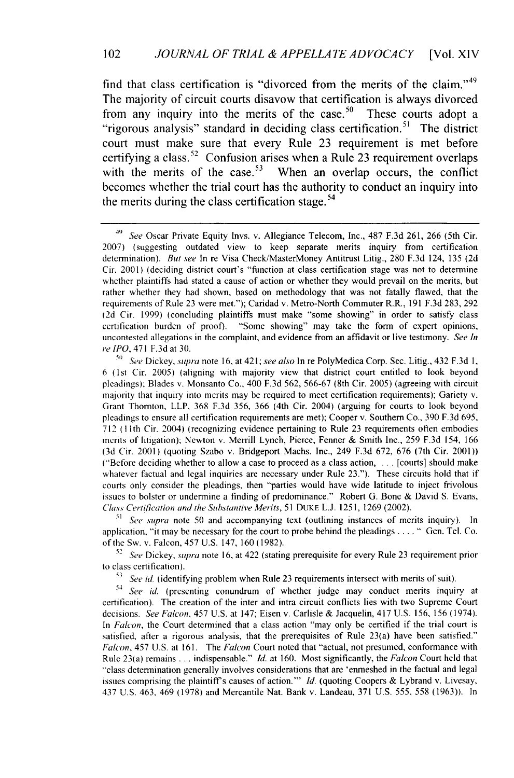find that class certification is "divorced from the merits of the claim." $49$ The majority of circuit courts disavow that certification is always divorced from any inquiry into the merits of the case.<sup>50</sup> These courts adopt a "rigorous analysis" standard in deciding class certification.<sup>51</sup> The district court must make sure that every Rule 23 requirement is met before certifying a class.<sup>52</sup> Confusion arises when a Rule 23 requirement overlaps with the merits of the case.<sup>53</sup> When an overlap occurs, the conflict becomes whether the trial court has the authority to conduct an inquiry into the merits during the class certification stage. $54$ 

*<sup>51</sup>See supra* note 50 and accompanying text (outlining instances of merits inquiry). In application, "it may be necessary for the court to probe behind the pleadings . . . . " Gen. Tel. Co. of the Sw. v. Falcon, 457 U.S. 147, 160 (1982).

*<sup>52</sup>See* Dickey, *supra* note 16, at 422 (stating prerequisite for every Rule 23 requirement prior to class certification).

*i3 See id.* (identifying problem when Rule 23 requirements intersect with merits of suit).

*54 See id.* (presenting conundrum of whether judge may conduct merits inquiry at certification). The creation of the inter and intra circuit conflicts lies with two Supreme Court decisions. *See Falcon,* 457 U.S. at 147; Eisen v. Carlisle & Jacquelin, 417 U.S. 156, 156 (1974). In *Falcon,* the Court determined that a class action "may only be certified if the trial court is satisfied, after a rigorous analysis, that the prerequisites of Rule 23(a) have been satisfied." *Falcon,* 457 U.S. at 161. The *Falcon* Court noted that "actual, not presumed, conformance with Rule 23(a) remains **...** indispensable." *Id.* at 160. Most significantly, the *Falcon* Court held that "class determination generally involves considerations that are 'enmeshed in the factual and legal issues comprising the plaintiff's causes of action."' *Id.* (quoting Coopers & Lybrand v. Livesay, 437 U.S. 463, 469 (1978) and Mercantile Nat. Bank v. Landeau, 371 U.S. 555, 558 (1963)). In

*<sup>49</sup> See* Oscar Private Equity lnvs. v. Allegiance Telecom, Inc., 487 F.3d 261, 266 (5th Cir. 2007) (suggesting outdated view to keep separate merits inquiry from certification determination). *But see* In re Visa Check/MasterMoney Antitrust Litig., 280 F.3d 124, 135 (2d Cir. 2001) (deciding district court's "function at class certification stage was not to determine whether plaintiffs had stated a cause of action or whether they would prevail on the merits, but rather whether they had shown, based on methodology that was not fatally flawed, that the requirements of Rule 23 were met."); Caridad v. Metro-North Commuter R.R., 191 F.3d 283, 292 (2d Cir. 1999) (concluding plaintiffs must make "some showing" in order to satisfy class certification burden of proof). "Some showing" may take the form of expert opinions, uncontested allegations in the complaint, and evidence from an affidavit or live testimony. *See In re IPO,* 471 F.3d at 30.

<sup>o</sup>*See* Dickey, *supra* note 16, at 421; *see also* In re PolyMedica Corp. Sec. Litig., 432 F.3d 1, 6 (lst Cir. 2005) (aligning with majority view that district court entitled to look beyond pleadings); Blades v. Monsanto Co., 400 F.3d 562, 566-67 (8th Cir. 2005) (agreeing with circuit majority that inquiry into merits may be required to meet certification requirements); Gariety v. Grant Thornton, LLP, 368 F.3d 356, 366 (4th Cir. 2004) (arguing for courts to look beyond pleadings to ensure all certification requirements are met); Cooper v. Southern Co., 390 F.3d 695, 712 (1Ilth Cir. 2004) (recognizing evidence pertaining to Rule 23 requirements often embodies merits of litigation); Newton v. Merrill Lynch, Pierce, Fenner & Smith Inc., 259 F.3d 154, 166 (3d Cir. 2001) (quoting Szabo v. Bridgeport Machs. Inc., 249 F.3d 672, 676 (7th Cir. 2001)) ("Before deciding whether to allow a case to proceed as a class action, . **.** . [courts] should make whatever factual and legal inquiries are necessary under Rule 23."). These circuits hold that if courts only consider the pleadings, then "parties would have wide latitude to inject frivolous issues to bolster or undermine a finding of predominance." Robert G. Bone & David S. Evans, *Class Certification and the Substantive Merits, 51* DUKE L.J. 1251, 1269 (2002).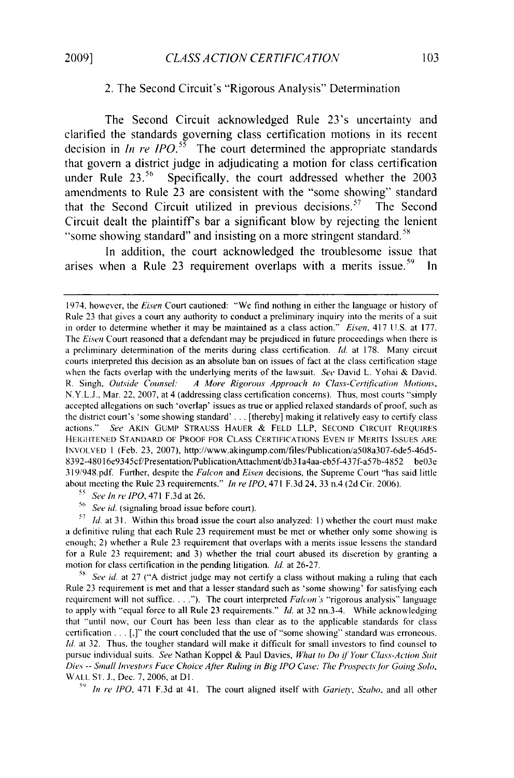#### 2. The Second Circuit's "Rigorous Analysis" Determination

The Second Circuit acknowledged Rule 23's uncertainty and clarified the standards governing class certification motions in its recent decision in *In re IPO*.<sup>55</sup> The court determined the appropriate standards that govern a district judge in adjudicating a motion for class certification under Rule  $23.^{56}$  Specifically, the court addressed whether the 2003 amendments to Rule 23 are consistent with the "some showing" standard that the Second Circuit utilized in previous decisions.<sup>57</sup> The Second Circuit dealt the plaintiffs bar a significant blow by rejecting the lenient "some showing standard" and insisting on a more stringent standard.<sup>5</sup>

In addition, the court acknowledged the troublesome issue that arises when a Rule 23 requirement overlaps with a merits issue.<sup>59</sup> In

- **<sup>55</sup>**See *In re* IPO, 471 F.3d at 26.
- <sup>56</sup> See id. (signaling broad issue before court).

**<sup>57</sup>***Id.* at 31. Within this broad issue the court also analyzed: **1)** whether the court must make a definitive ruling that each Rule 23 requirement must be met or whether only some showing is enough; 2) whether a Rule 23 requirement that overlaps with a merits issue lessens the standard for a Rule 23 requirement; and 3) whether the trial court abused its discretion by granting a motion for class certification in the pending litigation. *Id.* at 26-27.

<sup>58</sup> See id. at 27 ("A district judge may not certify a class without making a ruling that each Rule 23 requirement is met and that a lesser standard such as 'some showing' for satisfying each requirement will not suffice...."). The court interpreted *Falcon* 's "rigorous analysis" language to apply with "equal force to all Rule 23 requirements." *Id.* at 32 nn.3-4. While acknowledging that "until now, our Court has been less than clear as to the applicable standards for class certification... [,]" the court concluded that the use of"some showing" standard was erroneous. Id. at 32. Thus, the tougher standard will make it difficult for small investors to find counsel to pursue individual suits. *See* Nathan Koppel & Paul Davies, *What to Do if Your Class-Action Suit Dies* -- *Small Investors Face Choice Ater Ruling in Big IPO* Case; *The Prospectsfor Going Solo,* WALL ST. J., Dec. 7, 2006, at Dl.

<sup>59</sup> In re IPO, 471 F.3d at 41. The court aligned itself with *Gariety*, *Szabo*, and all other

<sup>1974,</sup> however, the Eisen Court cautioned: "We find nothing in either the language or history of Rule 23 that gives a court any authority to conduct a preliminary inquiry into the merits of a suit in order to determine whether it may be maintained as a class action." *Eisen*, 417 U.S. at 177. The *Eisen* Court reasoned that a defendant may be prejudiced in future proceedings when there is a preliminary determination of the merits during class certification. *Id.* at 178. Many circuit courts interpreted this decision as an absolute ban on issues of fact at the class certification stage when the facts overlap with the underlying merits of the lawsuit. See David L. Yohai & David. R. Singh, *Outside Counsel: A More Rigorous Approach to Class-Certification Motions,* N.Y.L.J., Mar. 22, 2007, at 4 (addressing class certification concerns). Thus, most courts "simply accepted allegations on such 'overlap' issues as true or applied relaxed standards of proof, such as the district court's 'some showing standard' ... [thereby] making it relatively easy to certify class actions." *See* AKIN GUMP STRAUSS HAUER & FELD LLP, SECOND CIRCUIT REQUIRES **HEIGtTENED** STANDARD OF PROOF FOR CLASS CERTIFICATIONS EVEN IF MERITS ISSUES ARE INVOLVED 1 (Feb. 23, 2007), http://www.akingump.com/files/Publication/a508a307-6de5-46d5- 8392-48016e9345cf/Presentation/PublicationAttachment/db31 a4aa-eb5f-437f-a57b-4852 be03e 319/948.pdf. Further, despite the *Falcon* and *Eisen* decisions, the Supreme Court "has said little about meeting the Rule 23 requirements." *In re IPO,* 471 F.3d 24, 33 n.4 (2d Cir. 2006).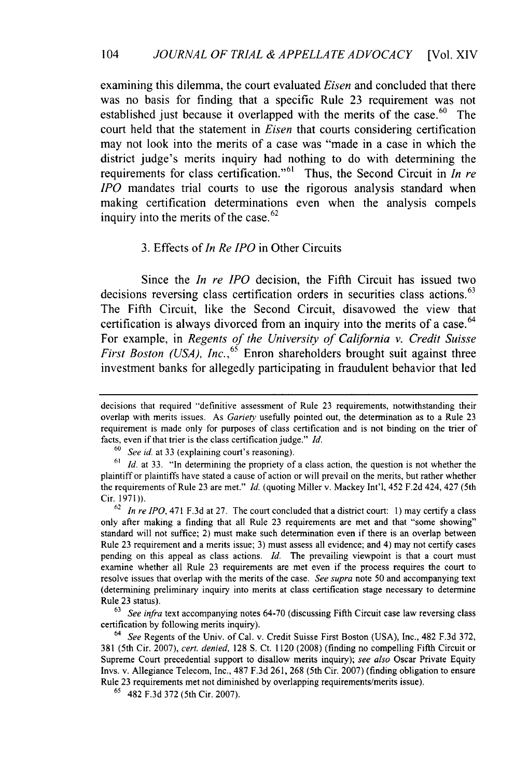examining this dilemma, the court evaluated *Eisen* and concluded that there was no basis for finding that a specific Rule 23 requirement was not established just because it overlapped with the merits of the case.  $60$  The court held that the statement in *Eisen* that courts considering certification may not look into the merits of a case was "made in a case in which the district judge's merits inquiry had nothing to do with determining the requirements for class certification."<sup>61</sup> Thus, the Second Circuit in *In re IPO* mandates trial courts to use the rigorous analysis standard when making certification determinations even when the analysis compels inquiry into the merits of the case. $62$ 

#### 3. Effects of *In Re IPO* in Other Circuits

Since the *In re* IPO decision, the Fifth Circuit has issued two decisions reversing class certification orders in securities class actions.<sup>63</sup> The Fifth Circuit, like the Second Circuit, disavowed the view that certification is always divorced from an inquiry into the merits of a case.  $64$ For example, in *Regents of the University of California v. Credit Suisse First Boston (USA), Inc.*,<sup>65</sup> Enron shareholders brought suit against three investment banks for allegedly participating in fraudulent behavior that led

**63** *See infra* text accompanying notes 64-70 (discussing Fifth Circuit case law reversing class certification by following merits inquiry).

64 *See* Regents of the Univ. of Cal. v. Credit Suisse First Boston (USA), Inc., 482 F.3d 372, 381 (5th Cir. 2007), *cert. denied,* 128 **S.** Ct. 1120 (2008) (finding no compelling Fifth Circuit or Supreme Court precedential support to disallow merits inquiry); *see also* Oscar Private Equity Invs. v. Allegiance Telecom, Inc., 487 F.3d 261, 268 (5th Cir. 2007) (finding obligation to ensure Rule 23 requirements met not diminished by overlapping requirements/merits issue).

**65** 482 F.3d 372 (5th Cir. 2007).

decisions that required "definitive assessment of Rule 23 requirements, notwithstanding their overlap with merits issues. As *Gariety* usefully pointed out, the determination as to a Rule 23 requirement is made only for purposes of class certification and is not binding on the trier of facts, even if that trier is the class certification judge." *Id.*

**<sup>60</sup>***See id.* at 33 (explaining court's reasoning).

**<sup>61</sup>***Id.* at 33. "In determining the propriety of a class action, the question is not whether the plaintiff or plaintiffs have stated a cause of action or will prevail on the merits, but rather whether the requirements of Rule 23 are met." *Id.* (quoting Miller v. Mackey Int'l, 452 F.2d 424, 427 (5th Cir. 1971)).

**<sup>62</sup>** *In re IPO,* 471 F.3d at 27. The court concluded that a district court: **1)** may certify a class only after making a finding that all Rule 23 requirements are met and that "some showing" standard will not suffice; 2) must make such determination even if there is an overlap between Rule 23 requirement and a merits issue; 3) must assess all evidence; and 4) may not certify cases pending on this appeal as class actions. *Id.* The prevailing viewpoint is that a court must examine whether all Rule 23 requirements are met even if the process requires the court to resolve issues that overlap with the merits of the case. *See supra* note 50 and accompanying text (determining preliminary inquiry into merits at class certification stage necessary to determine Rule 23 status).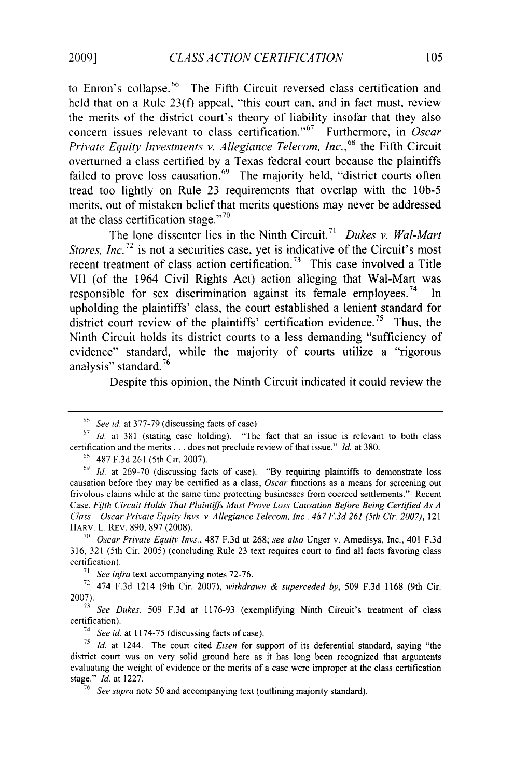to Enron's collapse.<sup>66</sup> The Fifth Circuit reversed class certification and held that on a Rule 23(f) appeal, "this court can, and in fact must, review the merits of the district court's theory of liability insofar that they also concern issues relevant to class certification."<sup>67</sup> Furthermore, in *Oscar Private Equity Investments v. Allegiance Telecom, Inc.*<sup>68</sup> the Fifth Circuit overturned a class certified by a Texas federal court because the plaintiffs failed to prove loss causation.<sup>69</sup> The majority held, "district courts often tread too lightly on Rule 23 requirements that overlap with the *lOb-5* merits, out of mistaken belief that merits questions may never be addressed at the class certification stage." $70$ 

The lone dissenter lies in the Ninth Circuit. <sup>7</sup> ' *Dukes v. Wal-Mart Stores, Inc.*<sup>72</sup> is not a securities case, yet is indicative of the Circuit's most recent treatment of class action certification.<sup>73</sup> This case involved a Title VII (of the 1964 Civil Rights Act) action alleging that Wal-Mart was responsible for sex discrimination against its female employees.<sup>74</sup> In upholding the plaintiffs' class, the court established a lenient standard for district court review of the plaintiffs' certification evidence.<sup>75</sup> Thus, the Ninth Circuit holds its district courts to a less demanding "sufficiency of evidence" standard, while the majority of courts utilize a "rigorous analysis" standard. 76

Despite this opinion, the Ninth Circuit indicated it could review the

*See* id. at 377-79 (discussing facts of case).

**<sup>67</sup>***Id.* at 381 (stating case holding). "The fact that an issue is relevant to both class certification and the merits... does not preclude review of that issue." *Id.* at 380.

**<sup>69</sup>**487 F.3d 261 (5th Cir. 2007).

**<sup>69</sup>***Id.* at 269-70 (discussing facts of case). "By requiring plaintiffs to demonstrate loss causation before they may be certified as a class, *Oscar* functions as a means for screening out frivolous claims while at the same time protecting businesses from coerced settlements." Recent Case, Fifth Circuit Holds That Plaintiffs Must Prove Loss Causation Before Being Certified As A *Class- Oscar Private Equity Invs. v. Allegiance Telecom, Inc., 487 F.3d 261 (5th Cir. 2007),* 121 HARV. L. REV. 890, 897 (2008).

**<sup>70</sup>***Oscar Private Equity Invs.,* 487 F.3d at 268; *see also* Unger v. Amedisys, Inc., 401 F.3d 316, 321 (5th Cir. 2005) (concluding Rule 23 text requires court to find all facts favoring class certification).

**<sup>71</sup>** *See infra* text accompanying notes 72-76.

<sup>72</sup>474 **F.3d** 1214 (9th Cir. 2007), *withdrawn & superceded by,* 509 F.3d 1168 (9th Cir. 2007).

**<sup>73</sup>***See Dukes,* 509 F.3d at 1176-93 (exemplifying Ninth Circuit's treatment of class certification).

<sup>74</sup>*See id.* at 1174-75 (discussing facts of case).

**<sup>75</sup>***Id.* at 1244. The court cited *Eisen* for support of its deferential standard, saying "the district court was on very solid ground here as it has long been recognized that arguments evaluating the weight of evidence or the merits of a case were improper at the class certification stage." *Id.* at 1227.

**<sup>76</sup>** *See supra* note 50 and accompanying text (outlining majority standard).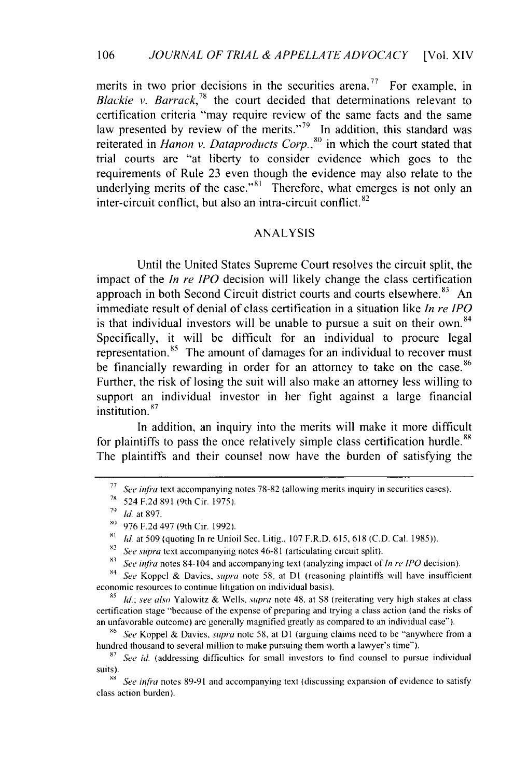merits in two prior decisions in the securities arena.<sup>77</sup> For example, in *Blackie v. Barrack*<sup>78</sup> the court decided that determinations relevant to certification criteria "may require review of the same facts and the same law presented by review of the merits." $^{79}$  In addition, this standard was reiterated in *Hanon v. Dataproducts Corp.*,<sup>80</sup> in which the court stated that trial courts are "at liberty to consider evidence which goes to the requirements of Rule 23 even though the evidence may also relate to the underlying merits of the case."<sup>81</sup> Therefore, what emerges is not only an inter-circuit conflict, but also an intra-circuit conflict. $82$ 

#### ANALYSIS

Until the United States Supreme Court resolves the circuit split, the impact of the *In re IPO* decision will likely change the class certification approach in both Second Circuit district courts and courts elsewhere.  $83$  An immediate result of denial of class certification in a situation like *In re IPO* is that individual investors will be unable to pursue a suit on their own.  $84$ Specifically, it will be difficult for an individual to procure legal representation.<sup>85</sup> The amount of damages for an individual to recover must be financially rewarding in order for an attorney to take on the case.<sup>86</sup> Further, the risk of losing the suit will also make an attorney less willing to support an individual investor in her fight against a large financial institution.<sup>87</sup>

In addition, an inquiry into the merits will make it more difficult for plaintiffs to pass the once relatively simple class certification hurdle.<sup>88</sup> The plaintiffs and their counsel now have the burden of satisfying the

X4 *See* Koppel & Davies, supra note 58, at **DI** (reasoning plaintiffs will have insufficient economic resources to continue litigation on individual basis).

5 Id.; *see* also Yalowitz & Wells, *sunpra* note 48, at **S8** (reiterating very high stakes at class certification stage "because of the expense of preparing and trying a class action (and the risks of an unfavorable outcome) are generally magnified greatly as compared to an individual case").

**8** *See* Koppel & Davies, *supra* note 58, at **DI** (arguing claims need to be "anywhere from a hundred thousand to several million to make pursuing them worth a lawyer's time").

<sup>&</sup>lt;sup>77</sup> *See infra text accompanying notes 78-82 (allowing merits inquiry in securities cases).* 

**<sup>78</sup>**524 F.2d 891 (9th Cir. 1975).

**<sup>79</sup>** Id. at 897.

**SO** 976 F.2d 497 (9th Cir. 1992).

<sup>&</sup>lt;sup>81</sup>  $\mu$ . at 509 (quoting In re Unioil Sec. Litig., 107 F.R.D. 615, 618 (C.D. Cal. 1985)).

*<sup>82</sup> See supra* text accompanying notes 46-81 (articulating circuit split).

See infra notes 84-104 and accompanying text (analyzing impact of *In re IPO* decision).

**<sup>87</sup>** *See* id. (addressing difficulties for small investors to find counsel to pursue individual suits).

<sup>88</sup> See infra notes 89-91 and accompanying text (discussing expansion of evidence to satisfy class action burden).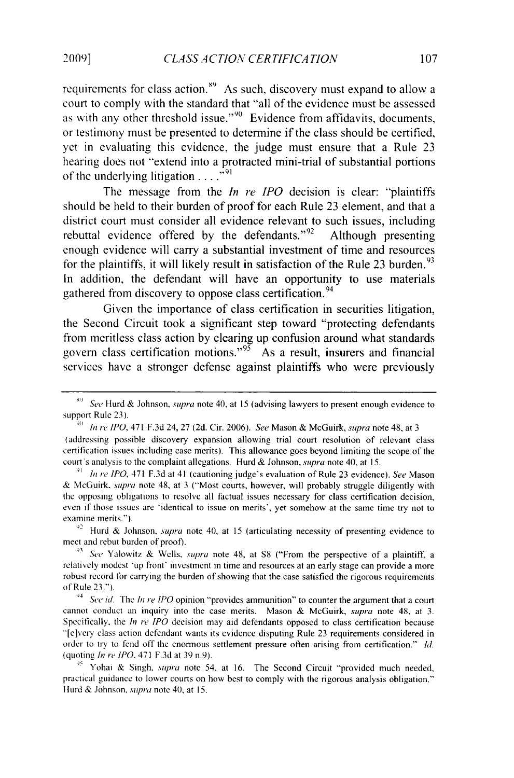requirements for class action." As such, discovery must expand to allow a court to comply with the standard that "all of the evidence must be assessed as with any other threshold issue." $90$  Evidence from affidavits, documents, or testimony must be presented to determine if the class should be certified, yet in evaluating this evidence, the judge must ensure that a Rule 23 hearing does not "extend into a protracted mini-trial of substantial portions of the underlying litigation  $\ldots$ <sup>591</sup>

The message from the *In re IPO* decision is clear: "plaintiffs should be held to their burden of proof for each Rule 23 element, and that a district court must consider all evidence relevant to such issues, including rebuttal evidence offered by the defendants." $92$  Although presenting enough evidence will carry a substantial investment of time and resources for the plaintiffs, it will likely result in satisfaction of the Rule 23 burden.<sup>93</sup> In addition, the defendant will have an opportunity to use materials gathered from discovery to oppose class certification. <sup>94</sup>

Given the importance of class certification in securities litigation, the Second Circuit took a significant step toward "protecting defendants from meritless class action by clearing up confusion around what standards govern class certification motions."<sup>95</sup> As a result, insurers and financial services have a stronger defense against plaintiffs who were previously

<sup>92</sup> Hurd & Johnson, *supra* note 40, at 15 (articulating necessity of presenting evidence to meet and rebut burden of proof).

<sup>95</sup> Yohai & Singh, *supra* note 54, at 16. The Second Circuit "provided much needed, practical guidance to lower courts on how best **to** comply with the rigorous analysis obligation." Hurd & Johnson, *supra* note 40, at 15.

*X'* See Hurd & Johnson, *supra* note 40, at 15 (advising lawyers to present enough evidence to support Rule 23).

**<sup>90</sup>***In re IPO,* 471 F.3d 24, 27 (2d. Cir. 2006). *See* Mason & McGuirk, *supra* note 48, at 3 (addressing possible discovery expansion allowing trial court resolution of relevant class certification issues including case merits). This allowance goes beyond limiting the scope of the court's analysis to the complaint allegations. Hurd & Johnson, *supra* note 40, at 15.

**<sup>9]</sup>** *In re IPO,* 471 F.3d at 41 (cautioning judge's evaluation of Rule 23 evidence). *See* Mason & McGuirk, *supra* note 48, at 3 ("Most courts, however, will probably struggle diligently with the opposing obligations to resolve all factual issues necessary for class certification decision, even if those issues are 'identical to issue on merits', yet somehow at the same time try not to examine merits.").

**<sup>93</sup>***See* Yalowitz & Wells, *supra* note 48, at **S8** ("From the perspective of a plaintiff, a relatively modest 'up front' investment in time and resources at an early stage can provide a more robust record for carrying the burden of showing that the case satisfied the rigorous requirements of Rule 23.").

*<sup>94</sup> See id.* The *In re IPO* opinion "provides ammunition" to counter the argument that a court cannot conduct an inquiry into the case merits. Mason & McGuirk, *supra* note 48, at 3. Specifically, the *In re [P0* decision may aid defendants opposed to class certification because "[e]very class action defendant wants its evidence disputing Rule 23 requirements considered in order to **try** to fend off the enormous settlement pressure often arising from certification." *Id.* (quoting *In re IPO,* 471 F.3d at 39 n.9).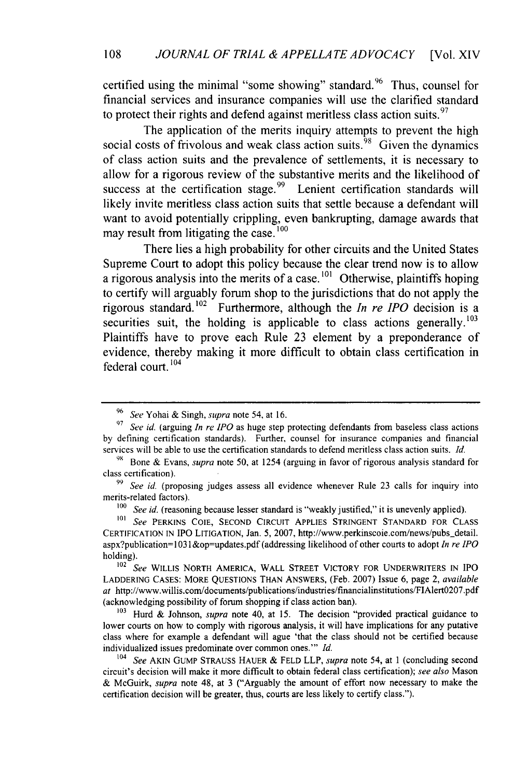certified using the minimal "some showing" standard. <sup>96</sup> Thus, counsel for financial services and insurance companies will use the clarified standard to protect their rights and defend against meritless class action suits.  $97$ 

The application of the merits inquiry attempts to prevent the high social costs of frivolous and weak class action suits.  $\frac{98}{9}$  Given the dynamics of class action suits and the prevalence of settlements, it is necessary to allow for a rigorous review of the substantive merits and the likelihood of success at the certification stage.<sup>99</sup> Lenient certification standards will likely invite meritless class action suits that settle because a defendant will want to avoid potentially crippling, even bankrupting, damage awards that may result from litigating the case. **<sup>100</sup>**

There lies a high probability for other circuits and the United States Supreme Court to adopt this policy because the clear trend now is to allow a rigorous analysis into the merits of a case.<sup>101</sup> Otherwise, plaintiffs hoping to certify will arguably forum shop to the jurisdictions that do not apply the rigorous standard.<sup>102</sup> Furthermore, although the *In re IPO* decision is a securities suit, the holding is applicable to class actions generally.  $103$ Plaintiffs have to prove each Rule **23** element **by** a preponderance of evidence, thereby making it more difficult to obtain class certification in federal court. **<sup>104</sup>**

<sup>96</sup>*See* Yohai & Singh, *supra* note 54, at 16.

*<sup>97</sup>See id.* (arguing *In re IPO* as huge step protecting defendants from baseless class actions by defining certification standards). Further, counsel for insurance companies and financial services will be able to use the certification standards to defend meritless class action suits. *Id.*

<sup>&</sup>lt;sup>98</sup> Bone & Evans, *supra* note 50, at 1254 (arguing in favor of rigorous analysis standard for class certification).

**<sup>99</sup>***See id.* (proposing judges assess all evidence whenever Rule 23 calls for inquiry into merits-related factors).

<sup>&</sup>lt;sup>100</sup> *See id.* (reasoning because lesser standard is "weakly justified," it is unevenly applied).

<sup>&</sup>lt;sup>101</sup> See PERKINS COIE, SECOND CIRCUIT APPLIES STRINGENT STANDARD FOR CLASS **CERTIFICATION IN** IPO **LITIGATION,** Jan. 5, 2007, http://www.perkinscoie.com/news/pubs-detail. aspx?publication <sup>=</sup>1031 &op=updates.pdf (addressing likelihood of other courts to adopt *In re IPO* holding).

<sup>102</sup>*See* WILLIS NORTH AMERICA, WALL STREET VICTORY FOR UNDERWRITERS **IN** IPO LADDERING CASES: MORE QUESTIONS THAN **ANSWERS,** (Feb. 2007) Issue 6, page 2, *available* at http://www.willis.com/documents/publications/industries/financialinstitutions/FIAlertO2O7.pdf (acknowledging possibility of forum shopping if class action ban).

<sup>&</sup>lt;sup>103</sup> Hurd & Johnson, *supra* note 40, at 15. The decision "provided practical guidance to lower courts on how to comply with rigorous analysis, it will have implications for any putative class where for example a defendant will ague 'that the class should not be certified because individualized issues predominate over common ones." *Id.* 

See AKIN GUMP STRAUSS HAUER & FELD LLP, *supra* note 54, at 1 (concluding second circuit's decision will make it more difficult to obtain federal class certification); *see also* Mason & McGuirk, *supra* note 48, at 3 ("Arguably the amount of effort now necessary to make the certification decision will be greater, thus, courts are less likely to certify class.").